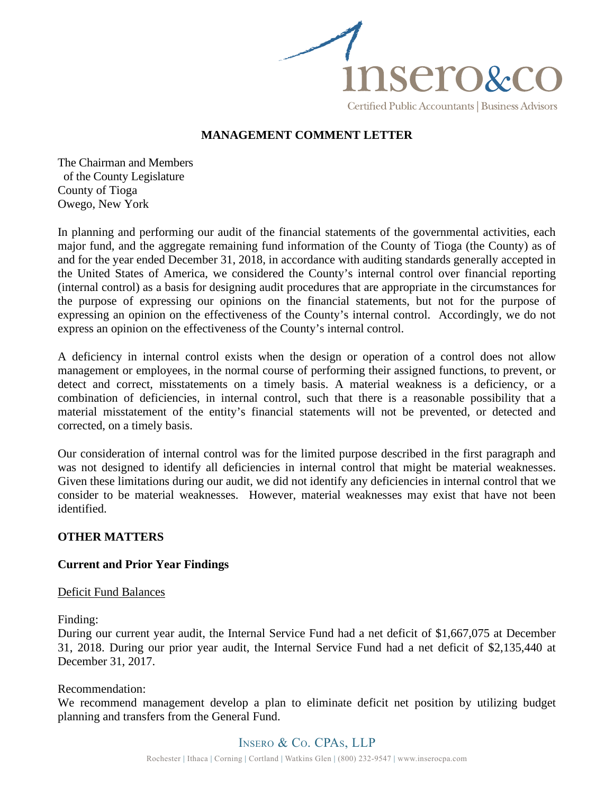

# **MANAGEMENT COMMENT LETTER**

The Chairman and Members of the County Legislature County of Tioga Owego, New York

In planning and performing our audit of the financial statements of the governmental activities, each major fund, and the aggregate remaining fund information of the County of Tioga (the County) as of and for the year ended December 31, 2018, in accordance with auditing standards generally accepted in the United States of America, we considered the County's internal control over financial reporting (internal control) as a basis for designing audit procedures that are appropriate in the circumstances for the purpose of expressing our opinions on the financial statements, but not for the purpose of expressing an opinion on the effectiveness of the County's internal control. Accordingly, we do not express an opinion on the effectiveness of the County's internal control.

A deficiency in internal control exists when the design or operation of a control does not allow management or employees, in the normal course of performing their assigned functions, to prevent, or detect and correct, misstatements on a timely basis. A material weakness is a deficiency, or a combination of deficiencies, in internal control, such that there is a reasonable possibility that a material misstatement of the entity's financial statements will not be prevented, or detected and corrected, on a timely basis.

Our consideration of internal control was for the limited purpose described in the first paragraph and was not designed to identify all deficiencies in internal control that might be material weaknesses. Given these limitations during our audit, we did not identify any deficiencies in internal control that we consider to be material weaknesses. However, material weaknesses may exist that have not been identified.

### **OTHER MATTERS**

### **Current and Prior Year Findings**

### Deficit Fund Balances

Finding:

During our current year audit, the Internal Service Fund had a net deficit of \$1,667,075 at December 31, 2018. During our prior year audit, the Internal Service Fund had a net deficit of \$2,135,440 at December 31, 2017.

#### Recommendation:

We recommend management develop a plan to eliminate deficit net position by utilizing budget planning and transfers from the General Fund.

# Insero & Co. CPAs, LLP